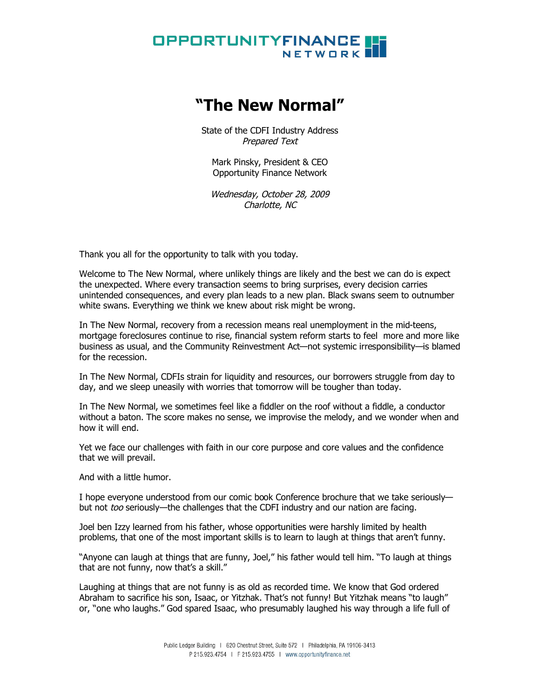# OPPORTUNITYFINANCE

# **"The New Normal"**

State of the CDFI Industry Address Prepared Text

Mark Pinsky, President & CEO Opportunity Finance Network

Wednesday, October 28, 2009 Charlotte, NC

Thank you all for the opportunity to talk with you today.

Welcome to The New Normal, where unlikely things are likely and the best we can do is expect the unexpected. Where every transaction seems to bring surprises, every decision carries unintended consequences, and every plan leads to a new plan. Black swans seem to outnumber white swans. Everything we think we knew about risk might be wrong.

In The New Normal, recovery from a recession means real unemployment in the mid-teens, mortgage foreclosures continue to rise, financial system reform starts to feel more and more like business as usual, and the Community Reinvestment Act—not systemic irresponsibility—is blamed for the recession.

In The New Normal, CDFIs strain for liquidity and resources, our borrowers struggle from day to day, and we sleep uneasily with worries that tomorrow will be tougher than today.

In The New Normal, we sometimes feel like a fiddler on the roof without a fiddle, a conductor without a baton. The score makes no sense, we improvise the melody, and we wonder when and how it will end.

Yet we face our challenges with faith in our core purpose and core values and the confidence that we will prevail.

And with a little humor.

I hope everyone understood from our comic book Conference brochure that we take seriously but not *too* seriously—the challenges that the CDFI industry and our nation are facing.

Joel ben Izzy learned from his father, whose opportunities were harshly limited by health problems, that one of the most important skills is to learn to laugh at things that aren't funny.

"Anyone can laugh at things that are funny, Joel," his father would tell him. "To laugh at things that are not funny, now that's a skill."

Laughing at things that are not funny is as old as recorded time. We know that God ordered Abraham to sacrifice his son, Isaac, or Yitzhak. That's not funny! But Yitzhak means "to laugh" or, "one who laughs." God spared Isaac, who presumably laughed his way through a life full of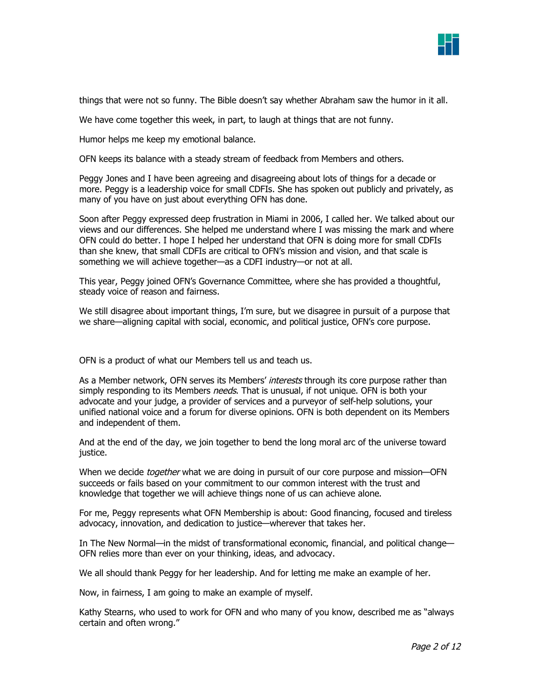

things that were not so funny. The Bible doesn't say whether Abraham saw the humor in it all.

We have come together this week, in part, to laugh at things that are not funny.

Humor helps me keep my emotional balance.

OFN keeps its balance with a steady stream of feedback from Members and others.

Peggy Jones and I have been agreeing and disagreeing about lots of things for a decade or more. Peggy is a leadership voice for small CDFIs. She has spoken out publicly and privately, as many of you have on just about everything OFN has done.

Soon after Peggy expressed deep frustration in Miami in 2006, I called her. We talked about our views and our differences. She helped me understand where I was missing the mark and where OFN could do better. I hope I helped her understand that OFN is doing more for small CDFIs than she knew, that small CDFIs are critical to OFN's mission and vision, and that scale is something we will achieve together—as a CDFI industry—or not at all.

This year, Peggy joined OFN's Governance Committee, where she has provided a thoughtful, steady voice of reason and fairness.

We still disagree about important things, I'm sure, but we disagree in pursuit of a purpose that we share—aligning capital with social, economic, and political justice, OFN's core purpose.

OFN is a product of what our Members tell us and teach us.

As a Member network, OFN serves its Members' interests through its core purpose rather than simply responding to its Members *needs*. That is unusual, if not unique. OFN is both your advocate and your judge, a provider of services and a purveyor of self-help solutions, your unified national voice and a forum for diverse opinions. OFN is both dependent on its Members and independent of them.

And at the end of the day, we join together to bend the long moral arc of the universe toward justice.

When we decide *together* what we are doing in pursuit of our core purpose and mission—OFN succeeds or fails based on your commitment to our common interest with the trust and knowledge that together we will achieve things none of us can achieve alone.

For me, Peggy represents what OFN Membership is about: Good financing, focused and tireless advocacy, innovation, and dedication to justice—wherever that takes her.

In The New Normal—in the midst of transformational economic, financial, and political change— OFN relies more than ever on your thinking, ideas, and advocacy.

We all should thank Peggy for her leadership. And for letting me make an example of her.

Now, in fairness, I am going to make an example of myself.

Kathy Stearns, who used to work for OFN and who many of you know, described me as "always certain and often wrong."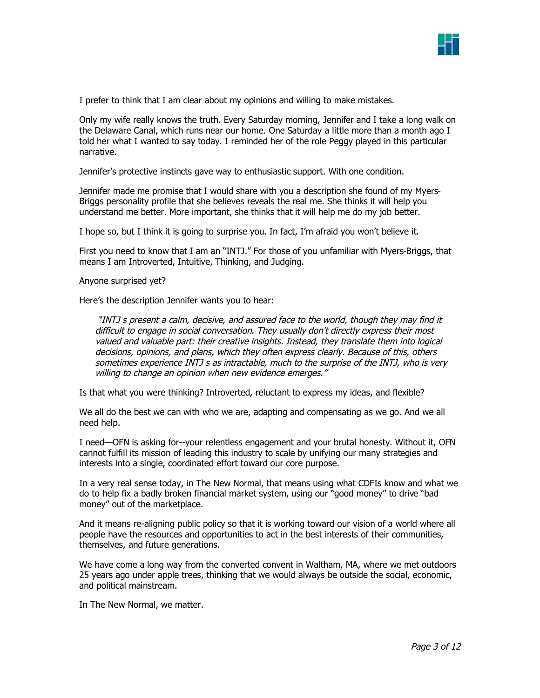

I prefer to think that I am clear about my opinions and willing to make mistakes.

Only my wife really knows the truth. Every Saturday morning, Jennifer and I take a long walk on the Delaware Canal, which runs near our home. One Saturday a little more than a month ago I told her what I wanted to say today. I reminded her of the role Peggy played in this particular narrative.

Jennifer's protective instincts gave way to enthusiastic support. With one condition.

Jennifer made me promise that I would share with you a description she found of my Myers-Briggs personality profile that she believes reveals the real me. She thinks it will help you understand me better. More important, she thinks that it will help me do my job better.

I hope so, but I think it is going to surprise you. In fact, I'm afraid you won't believe it.

First you need to know that I am an "INTJ." For those of you unfamiliar with Myers-Briggs, that means I am Introverted, Intuitive, Thinking, and Judging.

Anyone surprised yet?

Here's the description Jennifer wants you to hear:

"INTJ s present a calm, decisive, and assured face to the world, though they may find it difficult to engage in social conversation. They usually don't directly express their most valued and valuable part: their creative insights. Instead, they translate them into logical decisions, opinions, and plans, which they often express clearly. Because of this, others sometimes experience INTJ s as intractable, much to the surprise of the INTJ, who is very willing to change an opinion when new evidence emerges."

Is that what you were thinking? Introverted, reluctant to express my ideas, and flexible?

We all do the best we can with who we are, adapting and compensating as we go. And we all need help.

I need—OFN is asking for--your relentless engagement and your brutal honesty. Without it, OFN cannot fulfill its mission of leading this industry to scale by unifying our many strategies and interests into a single, coordinated effort toward our core purpose.

In a very real sense today, in The New Normal, that means using what CDFIs know and what we do to help fix a badly broken financial market system, using our "good money" to drive "bad money" out of the marketplace.

And it means re-aligning public policy so that it is working toward our vision of a world where all people have the resources and opportunities to act in the best interests of their communities, themselves, and future generations.

We have come a long way from the converted convent in Waltham, MA, where we met outdoors 25 years ago under apple trees, thinking that we would always be outside the social, economic, and political mainstream.

In The New Normal, we matter.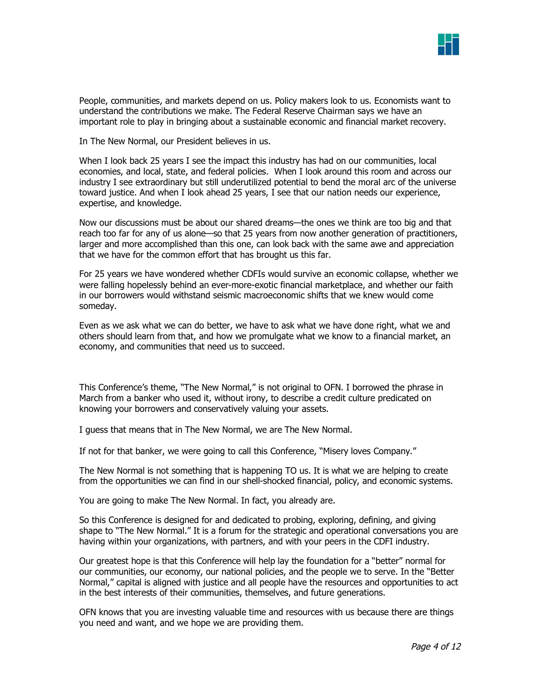

People, communities, and markets depend on us. Policy makers look to us. Economists want to understand the contributions we make. The Federal Reserve Chairman says we have an important role to play in bringing about a sustainable economic and financial market recovery.

In The New Normal, our President believes in us.

When I look back 25 years I see the impact this industry has had on our communities, local economies, and local, state, and federal policies. When I look around this room and across our industry I see extraordinary but still underutilized potential to bend the moral arc of the universe toward justice. And when I look ahead 25 years, I see that our nation needs our experience, expertise, and knowledge.

Now our discussions must be about our shared dreams—the ones we think are too big and that reach too far for any of us alone—so that 25 years from now another generation of practitioners, larger and more accomplished than this one, can look back with the same awe and appreciation that we have for the common effort that has brought us this far.

For 25 years we have wondered whether CDFIs would survive an economic collapse, whether we were falling hopelessly behind an ever-more-exotic financial marketplace, and whether our faith in our borrowers would withstand seismic macroeconomic shifts that we knew would come someday.

Even as we ask what we can do better, we have to ask what we have done right, what we and others should learn from that, and how we promulgate what we know to a financial market, an economy, and communities that need us to succeed.

This Conference's theme, "The New Normal," is not original to OFN. I borrowed the phrase in March from a banker who used it, without irony, to describe a credit culture predicated on knowing your borrowers and conservatively valuing your assets.

I guess that means that in The New Normal, we are The New Normal.

If not for that banker, we were going to call this Conference, "Misery loves Company."

The New Normal is not something that is happening TO us. It is what we are helping to create from the opportunities we can find in our shell-shocked financial, policy, and economic systems.

You are going to make The New Normal. In fact, you already are.

So this Conference is designed for and dedicated to probing, exploring, defining, and giving shape to "The New Normal." It is a forum for the strategic and operational conversations you are having within your organizations, with partners, and with your peers in the CDFI industry.

Our greatest hope is that this Conference will help lay the foundation for a "better" normal for our communities, our economy, our national policies, and the people we to serve. In the "Better Normal," capital is aligned with justice and all people have the resources and opportunities to act in the best interests of their communities, themselves, and future generations.

OFN knows that you are investing valuable time and resources with us because there are things you need and want, and we hope we are providing them.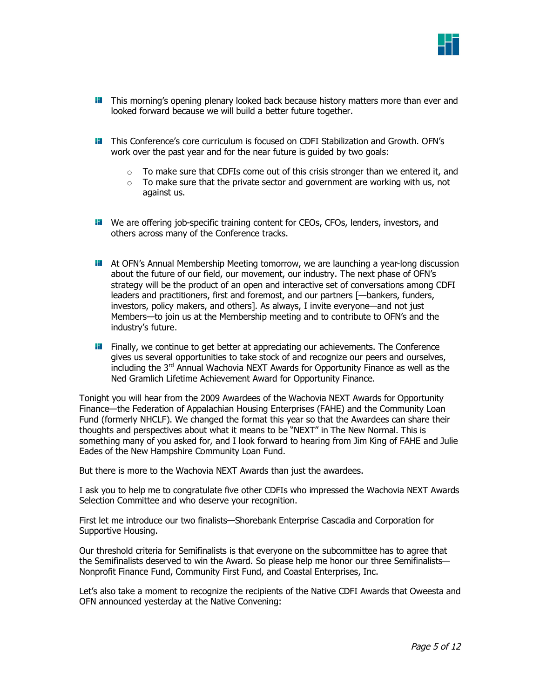

- **Fi** This morning's opening plenary looked back because history matters more than ever and looked forward because we will build a better future together.
- **II** This Conference's core curriculum is focused on CDFI Stabilization and Growth. OFN's work over the past year and for the near future is guided by two goals:
	- $\circ$  To make sure that CDFIs come out of this crisis stronger than we entered it, and
	- $\circ$  To make sure that the private sector and government are working with us, not against us.
- **H** We are offering job-specific training content for CEOs, CFOs, lenders, investors, and others across many of the Conference tracks.
- **Hi** At OFN's Annual Membership Meeting tomorrow, we are launching a year-long discussion about the future of our field, our movement, our industry. The next phase of OFN's strategy will be the product of an open and interactive set of conversations among CDFI leaders and practitioners, first and foremost, and our partners [—bankers, funders, investors, policy makers, and others]. As always, I invite everyone—and not just Members—to join us at the Membership meeting and to contribute to OFN's and the industry's future.
- **Fill** Finally, we continue to get better at appreciating our achievements. The Conference gives us several opportunities to take stock of and recognize our peers and ourselves, including the  $3<sup>rd</sup>$  Annual Wachovia NEXT Awards for Opportunity Finance as well as the Ned Gramlich Lifetime Achievement Award for Opportunity Finance.

Tonight you will hear from the 2009 Awardees of the Wachovia NEXT Awards for Opportunity Finance—the Federation of Appalachian Housing Enterprises (FAHE) and the Community Loan Fund (formerly NHCLF). We changed the format this year so that the Awardees can share their thoughts and perspectives about what it means to be "NEXT" in The New Normal. This is something many of you asked for, and I look forward to hearing from Jim King of FAHE and Julie Eades of the New Hampshire Community Loan Fund.

But there is more to the Wachovia NEXT Awards than just the awardees.

I ask you to help me to congratulate five other CDFIs who impressed the Wachovia NEXT Awards Selection Committee and who deserve your recognition.

First let me introduce our two finalists—Shorebank Enterprise Cascadia and Corporation for Supportive Housing.

Our threshold criteria for Semifinalists is that everyone on the subcommittee has to agree that the Semifinalists deserved to win the Award. So please help me honor our three Semifinalists— Nonprofit Finance Fund, Community First Fund, and Coastal Enterprises, Inc.

Let's also take a moment to recognize the recipients of the Native CDFI Awards that Oweesta and OFN announced yesterday at the Native Convening: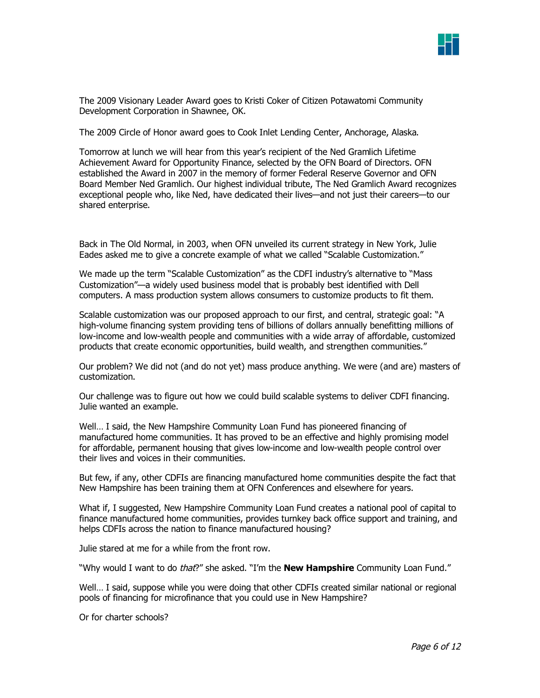

The 2009 Visionary Leader Award goes to Kristi Coker of Citizen Potawatomi Community Development Corporation in Shawnee, OK.

The 2009 Circle of Honor award goes to Cook Inlet Lending Center, Anchorage, Alaska.

Tomorrow at lunch we will hear from this year's recipient of the Ned Gramlich Lifetime Achievement Award for Opportunity Finance, selected by the OFN Board of Directors. OFN established the Award in 2007 in the memory of former Federal Reserve Governor and OFN Board Member Ned Gramlich. Our highest individual tribute, The Ned Gramlich Award recognizes exceptional people who, like Ned, have dedicated their lives—and not just their careers—to our shared enterprise.

Back in The Old Normal, in 2003, when OFN unveiled its current strategy in New York, Julie Eades asked me to give a concrete example of what we called "Scalable Customization."

We made up the term "Scalable Customization" as the CDFI industry's alternative to "Mass Customization"—a widely used business model that is probably best identified with Dell computers. A mass production system allows consumers to customize products to fit them.

Scalable customization was our proposed approach to our first, and central, strategic goal: "A high-volume financing system providing tens of billions of dollars annually benefitting millions of low-income and low-wealth people and communities with a wide array of affordable, customized products that create economic opportunities, build wealth, and strengthen communities."

Our problem? We did not (and do not yet) mass produce anything. We were (and are) masters of customization.

Our challenge was to figure out how we could build scalable systems to deliver CDFI financing. Julie wanted an example.

Well… I said, the New Hampshire Community Loan Fund has pioneered financing of manufactured home communities. It has proved to be an effective and highly promising model for affordable, permanent housing that gives low-income and low-wealth people control over their lives and voices in their communities.

But few, if any, other CDFIs are financing manufactured home communities despite the fact that New Hampshire has been training them at OFN Conferences and elsewhere for years.

What if, I suggested, New Hampshire Community Loan Fund creates a national pool of capital to finance manufactured home communities, provides turnkey back office support and training, and helps CDFIs across the nation to finance manufactured housing?

Julie stared at me for a while from the front row.

"Why would I want to do that?" she asked. "I'm the **New Hampshire** Community Loan Fund."

Well… I said, suppose while you were doing that other CDFIs created similar national or regional pools of financing for microfinance that you could use in New Hampshire?

Or for charter schools?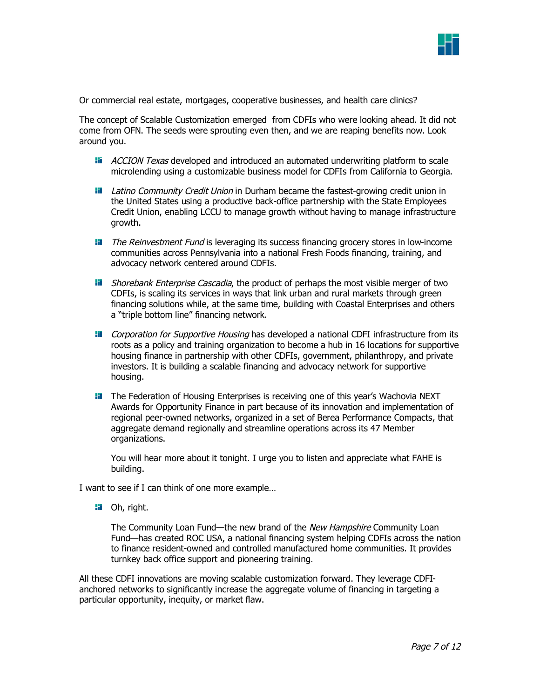

Or commercial real estate, mortgages, cooperative businesses, and health care clinics?

The concept of Scalable Customization emerged from CDFIs who were looking ahead. It did not come from OFN. The seeds were sprouting even then, and we are reaping benefits now. Look around you.

- **Fi** *ACCION Texas* developed and introduced an automated underwriting platform to scale microlending using a customizable business model for CDFIs from California to Georgia.
- **Latino Community Credit Union in Durham became the fastest-growing credit union in** the United States using a productive back-office partnership with the State Employees Credit Union, enabling LCCU to manage growth without having to manage infrastructure growth.
- **The Reinvestment Fund is leveraging its success financing grocery stores in low-income** communities across Pennsylvania into a national Fresh Foods financing, training, and advocacy network centered around CDFIs.
- **III** Shorebank Enterprise Cascadia, the product of perhaps the most visible merger of two CDFIs, is scaling its services in ways that link urban and rural markets through green financing solutions while, at the same time, building with Coastal Enterprises and others a "triple bottom line" financing network.
- **Fi** Corporation for Supportive Housing has developed a national CDFI infrastructure from its roots as a policy and training organization to become a hub in 16 locations for supportive housing finance in partnership with other CDFIs, government, philanthropy, and private investors. It is building a scalable financing and advocacy network for supportive housing.
- **II** The Federation of Housing Enterprises is receiving one of this year's Wachovia NEXT Awards for Opportunity Finance in part because of its innovation and implementation of regional peer-owned networks, organized in a set of Berea Performance Compacts, that aggregate demand regionally and streamline operations across its 47 Member organizations.

You will hear more about it tonight. I urge you to listen and appreciate what FAHE is building.

I want to see if I can think of one more example…

**Hi** Oh, right.

The Community Loan Fund—the new brand of the New Hampshire Community Loan Fund—has created ROC USA, a national financing system helping CDFIs across the nation to finance resident-owned and controlled manufactured home communities. It provides turnkey back office support and pioneering training.

All these CDFI innovations are moving scalable customization forward. They leverage CDFIanchored networks to significantly increase the aggregate volume of financing in targeting a particular opportunity, inequity, or market flaw.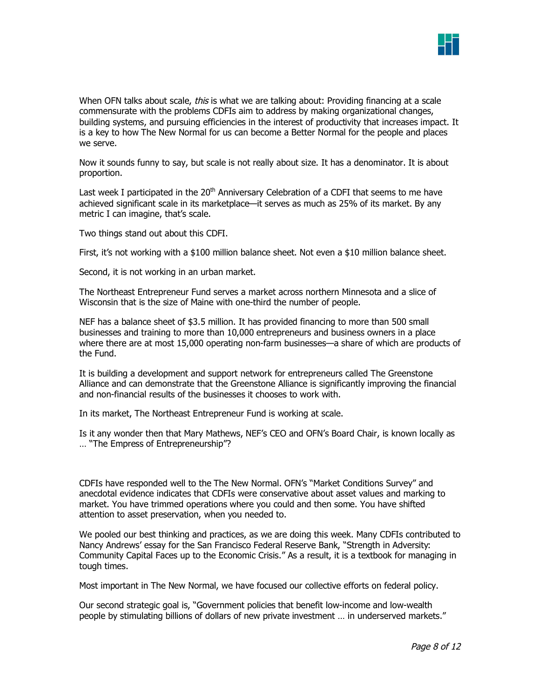

When OFN talks about scale, this is what we are talking about: Providing financing at a scale commensurate with the problems CDFIs aim to address by making organizational changes, building systems, and pursuing efficiencies in the interest of productivity that increases impact. It is a key to how The New Normal for us can become a Better Normal for the people and places we serve.

Now it sounds funny to say, but scale is not really about size. It has a denominator. It is about proportion.

Last week I participated in the  $20<sup>th</sup>$  Anniversary Celebration of a CDFI that seems to me have achieved significant scale in its marketplace—it serves as much as 25% of its market. By any metric I can imagine, that's scale.

Two things stand out about this CDFI.

First, it's not working with a \$100 million balance sheet. Not even a \$10 million balance sheet.

Second, it is not working in an urban market.

The Northeast Entrepreneur Fund serves a market across northern Minnesota and a slice of Wisconsin that is the size of Maine with one-third the number of people.

NEF has a balance sheet of \$3.5 million. It has provided financing to more than 500 small businesses and training to more than 10,000 entrepreneurs and business owners in a place where there are at most 15,000 operating non-farm businesses—a share of which are products of the Fund.

It is building a development and support network for entrepreneurs called The Greenstone Alliance and can demonstrate that the Greenstone Alliance is significantly improving the financial and non-financial results of the businesses it chooses to work with.

In its market, The Northeast Entrepreneur Fund is working at scale.

Is it any wonder then that Mary Mathews, NEF's CEO and OFN's Board Chair, is known locally as … "The Empress of Entrepreneurship"?

CDFIs have responded well to the The New Normal. OFN's "Market Conditions Survey" and anecdotal evidence indicates that CDFIs were conservative about asset values and marking to market. You have trimmed operations where you could and then some. You have shifted attention to asset preservation, when you needed to.

We pooled our best thinking and practices, as we are doing this week. Many CDFIs contributed to Nancy Andrews' essay for the San Francisco Federal Reserve Bank, "Strength in Adversity: Community Capital Faces up to the Economic Crisis." As a result, it is a textbook for managing in tough times.

Most important in The New Normal, we have focused our collective efforts on federal policy.

Our second strategic goal is, "Government policies that benefit low-income and low-wealth people by stimulating billions of dollars of new private investment … in underserved markets."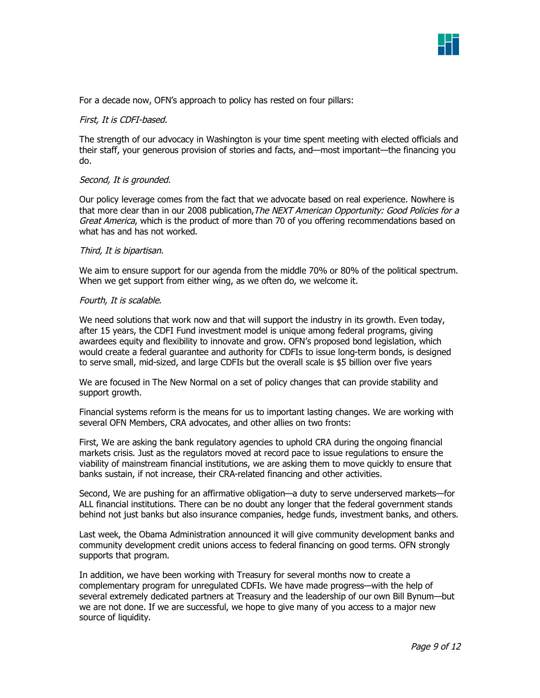

For a decade now, OFN's approach to policy has rested on four pillars:

### First, It is CDFI-based.

The strength of our advocacy in Washington is your time spent meeting with elected officials and their staff, your generous provision of stories and facts, and—most important—the financing you do.

## Second, It is grounded.

Our policy leverage comes from the fact that we advocate based on real experience. Nowhere is that more clear than in our 2008 publication, The NEXT American Opportunity: Good Policies for a Great America, which is the product of more than 70 of you offering recommendations based on what has and has not worked.

#### Third, It is bipartisan.

We aim to ensure support for our agenda from the middle 70% or 80% of the political spectrum. When we get support from either wing, as we often do, we welcome it.

#### Fourth, It is scalable.

We need solutions that work now and that will support the industry in its growth. Even today, after 15 years, the CDFI Fund investment model is unique among federal programs, giving awardees equity and flexibility to innovate and grow. OFN's proposed bond legislation, which would create a federal guarantee and authority for CDFIs to issue long-term bonds, is designed to serve small, mid-sized, and large CDFIs but the overall scale is \$5 billion over five years

We are focused in The New Normal on a set of policy changes that can provide stability and support growth.

Financial systems reform is the means for us to important lasting changes. We are working with several OFN Members, CRA advocates, and other allies on two fronts:

First, We are asking the bank regulatory agencies to uphold CRA during the ongoing financial markets crisis. Just as the regulators moved at record pace to issue regulations to ensure the viability of mainstream financial institutions, we are asking them to move quickly to ensure that banks sustain, if not increase, their CRA-related financing and other activities.

Second, We are pushing for an affirmative obligation—a duty to serve underserved markets—for ALL financial institutions. There can be no doubt any longer that the federal government stands behind not just banks but also insurance companies, hedge funds, investment banks, and others.

Last week, the Obama Administration announced it will give community development banks and community development credit unions access to federal financing on good terms. OFN strongly supports that program.

In addition, we have been working with Treasury for several months now to create a complementary program for unregulated CDFIs. We have made progress—with the help of several extremely dedicated partners at Treasury and the leadership of our own Bill Bynum—but we are not done. If we are successful, we hope to give many of you access to a major new source of liquidity.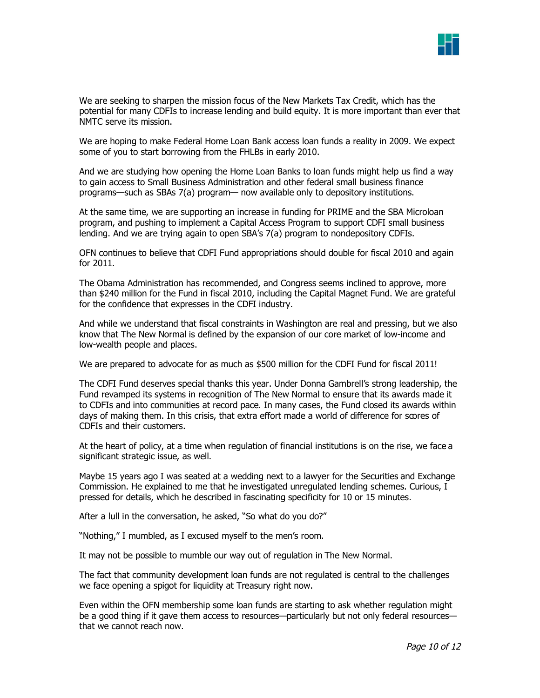

We are seeking to sharpen the mission focus of the New Markets Tax Credit, which has the potential for many CDFIs to increase lending and build equity. It is more important than ever that NMTC serve its mission.

We are hoping to make Federal Home Loan Bank access loan funds a reality in 2009. We expect some of you to start borrowing from the FHLBs in early 2010.

And we are studying how opening the Home Loan Banks to loan funds might help us find a way to gain access to Small Business Administration and other federal small business finance programs—such as SBAs 7(a) program— now available only to depository institutions.

At the same time, we are supporting an increase in funding for PRIME and the SBA Microloan program, and pushing to implement a Capital Access Program to support CDFI small business lending. And we are trying again to open SBA's 7(a) program to nondepository CDFIs.

OFN continues to believe that CDFI Fund appropriations should double for fiscal 2010 and again for 2011.

The Obama Administration has recommended, and Congress seems inclined to approve, more than \$240 million for the Fund in fiscal 2010, including the Capital Magnet Fund. We are grateful for the confidence that expresses in the CDFI industry.

And while we understand that fiscal constraints in Washington are real and pressing, but we also know that The New Normal is defined by the expansion of our core market of low-income and low-wealth people and places.

We are prepared to advocate for as much as \$500 million for the CDFI Fund for fiscal 2011!

The CDFI Fund deserves special thanks this year. Under Donna Gambrell's strong leadership, the Fund revamped its systems in recognition of The New Normal to ensure that its awards made it to CDFIs and into communities at record pace. In many cases, the Fund closed its awards within days of making them. In this crisis, that extra effort made a world of difference for scores of CDFIs and their customers.

At the heart of policy, at a time when regulation of financial institutions is on the rise, we face a significant strategic issue, as well.

Maybe 15 years ago I was seated at a wedding next to a lawyer for the Securities and Exchange Commission. He explained to me that he investigated unregulated lending schemes. Curious, I pressed for details, which he described in fascinating specificity for 10 or 15 minutes.

After a lull in the conversation, he asked, "So what do you do?"

"Nothing," I mumbled, as I excused myself to the men's room.

It may not be possible to mumble our way out of regulation in The New Normal.

The fact that community development loan funds are not regulated is central to the challenges we face opening a spigot for liquidity at Treasury right now.

Even within the OFN membership some loan funds are starting to ask whether regulation might be a good thing if it gave them access to resources—particularly but not only federal resources that we cannot reach now.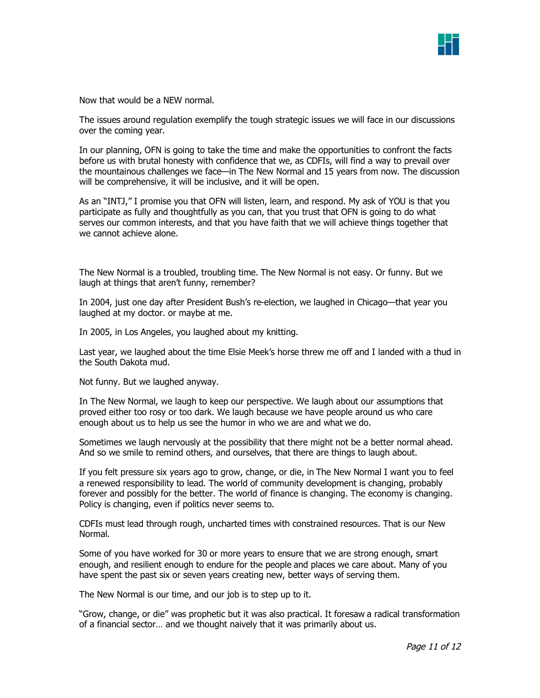

Now that would be a NEW normal.

The issues around regulation exemplify the tough strategic issues we will face in our discussions over the coming year.

In our planning, OFN is going to take the time and make the opportunities to confront the facts before us with brutal honesty with confidence that we, as CDFIs, will find a way to prevail over the mountainous challenges we face—in The New Normal and 15 years from now. The discussion will be comprehensive, it will be inclusive, and it will be open.

As an "INTJ," I promise you that OFN will listen, learn, and respond. My ask of YOU is that you participate as fully and thoughtfully as you can, that you trust that OFN is going to do what serves our common interests, and that you have faith that we will achieve things together that we cannot achieve alone.

The New Normal is a troubled, troubling time. The New Normal is not easy. Or funny. But we laugh at things that aren't funny, remember?

In 2004, just one day after President Bush's re-election, we laughed in Chicago—that year you laughed at my doctor. or maybe at me.

In 2005, in Los Angeles, you laughed about my knitting.

Last year, we laughed about the time Elsie Meek's horse threw me off and I landed with a thud in the South Dakota mud.

Not funny. But we laughed anyway.

In The New Normal, we laugh to keep our perspective. We laugh about our assumptions that proved either too rosy or too dark. We laugh because we have people around us who care enough about us to help us see the humor in who we are and what we do.

Sometimes we laugh nervously at the possibility that there might not be a better normal ahead. And so we smile to remind others, and ourselves, that there are things to laugh about.

If you felt pressure six years ago to grow, change, or die, in The New Normal I want you to feel a renewed responsibility to lead. The world of community development is changing, probably forever and possibly for the better. The world of finance is changing. The economy is changing. Policy is changing, even if politics never seems to.

CDFIs must lead through rough, uncharted times with constrained resources. That is our New Normal.

Some of you have worked for 30 or more years to ensure that we are strong enough, smart enough, and resilient enough to endure for the people and places we care about. Many of you have spent the past six or seven years creating new, better ways of serving them.

The New Normal is our time, and our job is to step up to it.

"Grow, change, or die" was prophetic but it was also practical. It foresaw a radical transformation of a financial sector… and we thought naively that it was primarily about us.